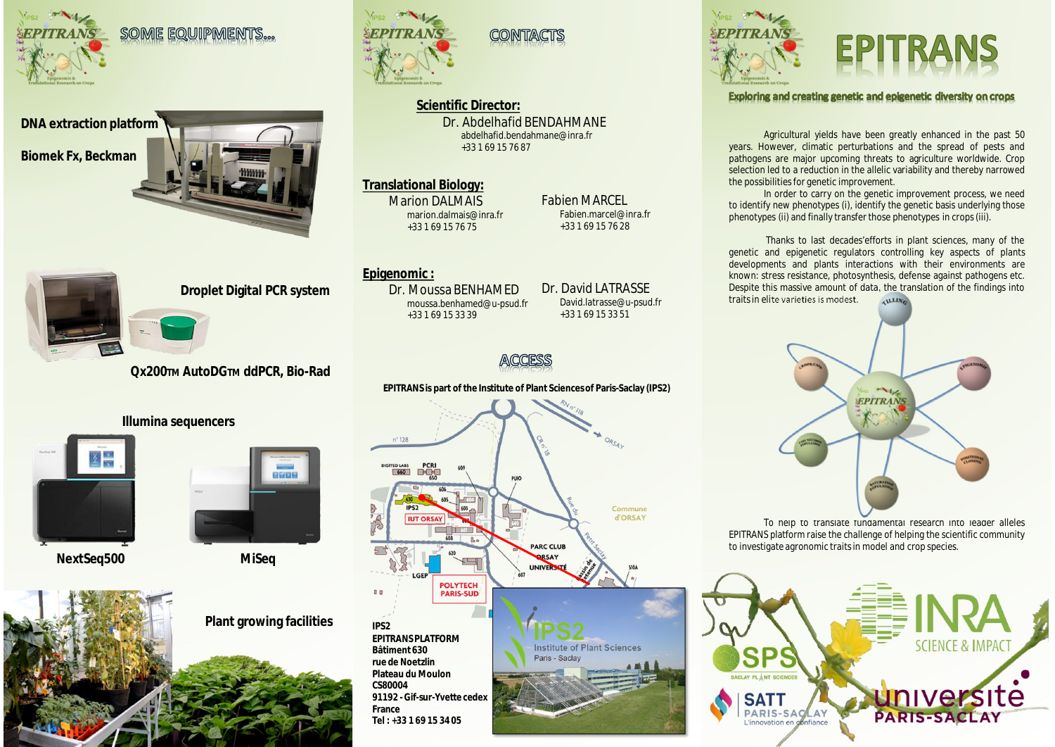

SOME EQUIPMENTS...





**Droplet Digital PCR system**

### **Qx200TM AutoDGTM ddPCR, Bio-Rad**

#### **Illumina sequencers**





**NextSeq500 MiSeq**

**Plant growing facilities**





**Scientific Director:** Dr. Abdelhafid BENDAHMANE abdelhafid.bendahmane@inra.fr +33 1 69 15 76 87

CONTACTS

#### **Translational Biology:**

**Marion DAI MAIS** marion.dalmais@inra.fr +33 1 69 15 76 75

**Epigenomic :**

Dr. Moussa BENHAMED moussa.benhamed@u-psud.fr +33 1 69 15 33 39

Dr. David LATRASSE David.latrasse@u-psud.fr +33 1 69 15 33 51

Fabien MARCEL Fabien.marcel@inra.fr +33 1 69 15 76 28



**EPITRANS is part of the Institute of Plant Sciences of Paris-Saclay (IPS2)**  $\sim$ ORSAY  $n^2$  128 PUIO Commune **d'ORSAY ILIT ORSAY PARC CLUB** ORSAY UNIVERSIT **POLYTECH**  $B$ PARIS-SUD **IPS2 EPITRANS PLATFORM** Institute of Plant Sciences **Bâtiment 630** Paris - Saclay **rue de Noetzlin Plateau du Moulon CS80004 91192 - Gif-sur-Yvette cedex France Tel : +33 1 69 15 34 05**



#### Exploring and creating genetic and epigenetic diversity on crops

Agricultural yields have been greatly enhanced in the past 50 years. However, climatic perturbations and the spread of pests and pathogens are major upcoming threats to agriculture worldwide. Crop selection led to a reduction in the allelic variability and thereby narrowed the possibilities for genetic improvement.

In order to carry on the genetic improvement process, we need to identify new phenotypes (i), identify the genetic basis underlying those phenotypes (ii) and finally transfer those phenotypes in crops (iii).

Thanks to last decades'efforts in plant sciences, many of the genetic and epigenetic regulators controlling key aspects of plants developments and plants interactions with their environments are known: stress resistance, photosynthesis, defense against pathogens etc. Despite this massive amount of data, the translation of the findings into<br>traits in elite varieties is modest. traits in elite varieties is modest.



To help to translate fundamental research into leader alleles EPITRANS platform raise the challenge of helping the scientific community to investigate agronomic traits in model and crop species.